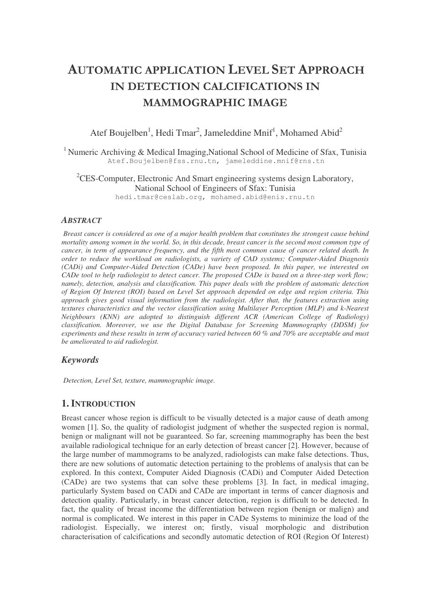# **AUTOMATIC APPLICATION LEVEL SET APPROACH** IN DETECTION CALCIFICATIONS IN **MAMMOGRAPHIC IMAGE**

Atef Boujelben<sup>1</sup>, Hedi Tmar<sup>2</sup>, Jameleddine Mnif<sup>1</sup>, Mohamed Abid<sup>2</sup>

<sup>1</sup> Numeric Archiving & Medical Imaging, National School of Medicine of Sfax, Tunisia Atef.Boujelben@fss.rnu.tn, jameleddine.mnif@rns.tn

 ${}^{2}$ CES-Computer, Electronic And Smart engineering systems design Laboratory, National School of Engineers of Sfax: Tunisia hedi.tmar@ceslab.org, mohamed.abid@enis.rnu.tn

# *ABSTRACT*

*Breast cancer is considered as one of a major health problem that constitutes the strongest cause behind* mortality among women in the world. So, in this decade, breast cancer is the second most common type of *cancer, in term of appearance frequency, and the fifth most common cause of cancer related death. In order to reduce the workload on radiologists, a variety of CAD systems; Computer-Aided Diagnosis (CADi) and Computer-Aided Detection (CADe) have been proposed. In this paper, we interested on* CADe tool to help radiologist to detect cancer. The proposed CADe is based on a three-step work flow; *namely, detection, analysis and classification. This paper deals with the problem of automatic detection of Region Of Interest (ROI) based on Level Set approach depended on edge and region criteria. This approach gives good visual information from the radiologist. After that, the features extraction using textures characteristics and the vector classification using Multilayer Perception (MLP) and k-Nearest Neighbours (KNN) are adopted to distinguish different ACR (American College of Radiology) classification. Moreover, we use the Digital Database for Screening Mammography (DDSM) for* experiments and these results in term of accuracy varied between 60 % and 70% are acceptable and must *be ameliorated to aid radiologist.*

# *Keywords*

*Detection, Level Set, texture, mammographic image.*

# **1. INTRODUCTION**

Breast cancer whose region is difficult to be visually detected is a major cause of death among women [1]. So, the quality of radiologist judgment of whether the suspected region is normal, benign or malignant will not be guaranteed. So far, screening mammography has been the best available radiological technique for an early detection of breast cancer [2]. However, because of the large number of mammograms to be analyzed, radiologists can make false detections. Thus, there are new solutions of automatic detection pertaining to the problems of analysis that can be explored. In this context, Computer Aided Diagnosis (CADi) and Computer Aided Detection (CADe) are two systems that can solve these problems [3]. In fact, in medical imaging, particularly System based on CADi and CADe are important in terms of cancer diagnosis and detection quality. Particularly, in breast cancer detection, region is difficult to be detected. In fact, the quality of breast income the differentiation between region (benign or malign) and normal is complicated. We interest in this paper in CADe Systems to minimize the load of the radiologist. Especially, we interest on; firstly, visual morphologic and distribution characterisation of calcifications and secondly automatic detection of ROI (Region Of Interest)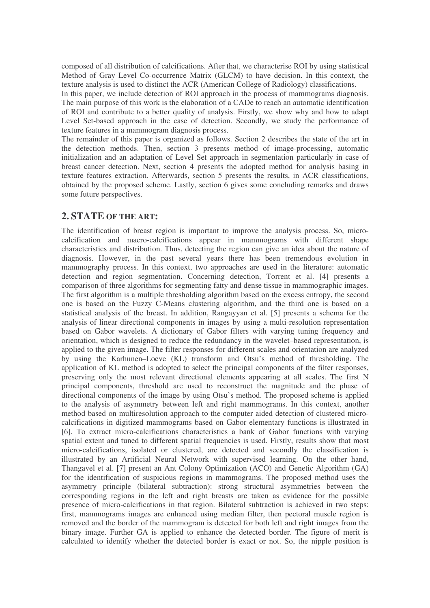composed of all distribution of calcifications. After that, we characterise ROI by using statistical Method of Gray Level Co-occurrence Matrix (GLCM) to have decision. In this context, the texture analysis is used to distinct the ACR (American College of Radiology) classifications.

In this paper, we include detection of ROI approach in the process of mammograms diagnosis. The main purpose of this work is the elaboration of a CADe to reach an automatic identification of ROI and contribute to a better quality of analysis. Firstly, we show why and how to adapt Level Set-based approach in the case of detection. Secondly, we study the performance of texture features in a mammogram diagnosis process.

The remainder of this paper is organized as follows. Section 2 describes the state of the art in the detection methods. Then, section 3 presents method of image-processing, automatic initialization and an adaptation of Level Set approach in segmentation particularly in case of breast cancer detection. Next, section 4 presents the adopted method for analysis basing in texture features extraction. Afterwards, section 5 presents the results, in ACR classifications, obtained by the proposed scheme. Lastly, section 6 gives some concluding remarks and draws some future perspectives.

# **2. STATE OF THE ART:**

The identification of breast region is important to improve the analysis process. So, microcalcification and macro-calcifications appear in mammograms with different shape characteristics and distribution. Thus, detecting the region can give an idea about the nature of diagnosis. However, in the past several years there has been tremendous evolution in mammography process. In this context, two approaches are used in the literature: automatic detection and region segmentation. Concerning detection, Torrent et al. [4] presents a comparison of three algorithms for segmenting fatty and dense tissue in mammographic images. The first algorithm is a multiple thresholding algorithm based on the excess entropy, the second one is based on the Fuzzy C-Means clustering algorithm, and the third one is based on a statistical analysis of the breast. In addition, Rangayyan et al. [5] presents a schema for the analysis of linear directional components in images by using a multi-resolution representation based on Gabor wavelets. A dictionary of Gabor filters with varying tuning frequency and orientation, which is designed to reduce the redundancy in the wavelet–based representation, is applied to the given image. The filter responses for different scales and orientation are analyzed by using the Karhunen–Loeve (KL) transform and Otsu's method of thresholding. The application of KL method is adopted to select the principal components of the filter responses, preserving only the most relevant directional elements appearing at all scales. The first N principal components, threshold are used to reconstruct the magnitude and the phase of directional components of the image by using Otsu's method. The proposed scheme is applied to the analysis of asymmetry between left and right mammograms. In this context, another method based on multiresolution approach to the computer aided detection of clustered microcalcifications in digitized mammograms based on Gabor elementary functions is illustrated in [6]. To extract micro-calcifications characteristics a bank of Gabor functions with varying spatial extent and tuned to different spatial frequencies is used. Firstly, results show that most micro-calcifications, isolated or clustered, are detected and secondly the classification is illustrated by an Artificial Neural Network with supervised learning. On the other hand, Thangavel et al. [7] present an Ant Colony Optimization (ACO) and Genetic Algorithm (GA) for the identification of suspicious regions in mammograms. The proposed method uses the asymmetry principle (bilateral subtraction): strong structural asymmetries between the corresponding regions in the left and right breasts are taken as evidence for the possible presence of micro-calcifications in that region. Bilateral subtraction is achieved in two steps: first, mammograms images are enhanced using median filter, then pectoral muscle region is removed and the border of the mammogram is detected for both left and right images from the binary image. Further GA is applied to enhance the detected border. The figure of merit is calculated to identify whether the detected border is exact or not. So, the nipple position is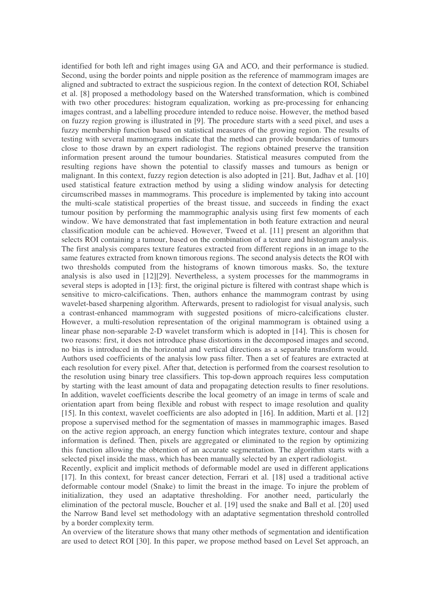identified for both left and right images using GA and ACO, and their performance is studied. Second, using the border points and nipple position as the reference of mammogram images are aligned and subtracted to extract the suspicious region. In the context of detection ROI, Schiabel et al. [8] proposed a methodology based on the Watershed transformation, which is combined with two other procedures: histogram equalization, working as pre-processing for enhancing images contrast, and a labelling procedure intended to reduce noise. However, the method based on fuzzy region growing is illustrated in [9]. The procedure starts with a seed pixel, and uses a fuzzy membership function based on statistical measures of the growing region. The results of testing with several mammograms indicate that the method can provide boundaries of tumours close to those drawn by an expert radiologist. The regions obtained preserve the transition information present around the tumour boundaries. Statistical measures computed from the resulting regions have shown the potential to classify masses and tumours as benign or malignant. In this context, fuzzy region detection is also adopted in [21]. But, Jadhav et al. [10] used statistical feature extraction method by using a sliding window analysis for detecting circumscribed masses in mammograms. This procedure is implemented by taking into account the multi-scale statistical properties of the breast tissue, and succeeds in finding the exact tumour position by performing the mammographic analysis using first few moments of each window. We have demonstrated that fast implementation in both feature extraction and neural classification module can be achieved. However, Tweed et al. [11] present an algorithm that selects ROI containing a tumour, based on the combination of a texture and histogram analysis. The first analysis compares texture features extracted from different regions in an image to the same features extracted from known timorous regions. The second analysis detects the ROI with two thresholds computed from the histograms of known timorous masks. So, the texture analysis is also used in [12][29]. Nevertheless, a system processes for the mammograms in several steps is adopted in [13]: first, the original picture is filtered with contrast shape which is sensitive to micro-calcifications. Then, authors enhance the mammogram contrast by using wavelet-based sharpening algorithm. Afterwards, present to radiologist for visual analysis, such a contrast-enhanced mammogram with suggested positions of micro-calcifications cluster. However, a multi-resolution representation of the original mammogram is obtained using a linear phase non-separable 2-D wavelet transform which is adopted in [14]. This is chosen for two reasons: first, it does not introduce phase distortions in the decomposed images and second, no bias is introduced in the horizontal and vertical directions as a separable transform would. Authors used coefficients of the analysis low pass filter. Then a set of features are extracted at each resolution for every pixel. After that, detection is performed from the coarsest resolution to the resolution using binary tree classifiers. This top-down approach requires less computation by starting with the least amount of data and propagating detection results to finer resolutions. In addition, wavelet coefficients describe the local geometry of an image in terms of scale and orientation apart from being flexible and robust with respect to image resolution and quality [15]. In this context, wavelet coefficients are also adopted in [16]. In addition, Marti et al. [12] propose a supervised method for the segmentation of masses in mammographic images. Based on the active region approach, an energy function which integrates texture, contour and shape information is defined. Then, pixels are aggregated or eliminated to the region by optimizing this function allowing the obtention of an accurate segmentation. The algorithm starts with a selected pixel inside the mass, which has been manually selected by an expert radiologist.

Recently, explicit and implicit methods of deformable model are used in different applications [17]. In this context, for breast cancer detection, Ferrari et al. [18] used a traditional active deformable contour model (Snake) to limit the breast in the image. To injure the problem of initialization, they used an adaptative thresholding. For another need, particularly the elimination of the pectoral muscle, Boucher et al. [19] used the snake and Ball et al. [20] used the Narrow Band level set methodology with an adaptative segmentation threshold controlled by a border complexity term.

An overview of the literature shows that many other methods of segmentation and identification are used to detect ROI [30]. In this paper, we propose method based on Level Set approach, an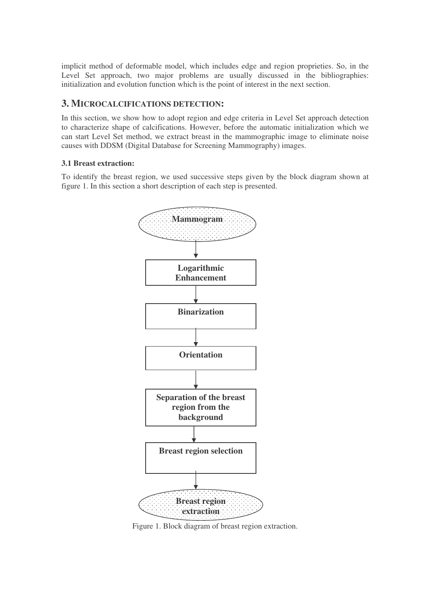implicit method of deformable model, which includes edge and region proprieties. So, in the Level Set approach, two major problems are usually discussed in the bibliographies: initialization and evolution function which is the point of interest in the next section.

# **3. MICROCALCIFICATIONS DETECTION:**

In this section, we show how to adopt region and edge criteria in Level Set approach detection to characterize shape of calcifications. However, before the automatic initialization which we can start Level Set method, we extract breast in the mammographic image to eliminate noise causes with DDSM (Digital Database for Screening Mammography) images.

## **3.1 Breast extraction:**

To identify the breast region, we used successive steps given by the block diagram shown at figure 1. In this section a short description of each step is presented.



Figure 1. Block diagram of breast region extraction.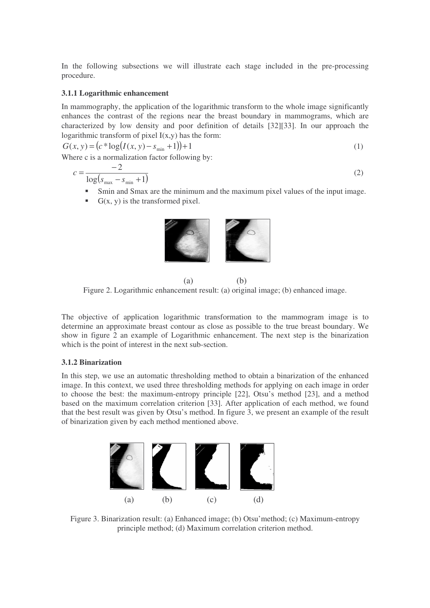In the following subsections we will illustrate each stage included in the pre-processing procedure.

#### **3.1.1 Logarithmic enhancement**

In mammography, the application of the logarithmic transform to the whole image significantly enhances the contrast of the regions near the breast boundary in mammograms, which are characterized by low density and poor definition of details [32][33]. In our approach the logarithmic transform of pixel  $I(x,y)$  has the form:

$$
G(x, y) = (c * log(I(x, y) - s_{min} + 1)) + 1
$$
\n(1)

Where c is a normalization factor following by:

$$
c = \frac{-2}{\log(s_{\max} - s_{\min} + 1)}\tag{2}
$$

- Smin and Smax are the minimum and the maximum pixel values of the input image.
- $G(x, y)$  is the transformed pixel.



 $(a)$  (b) Figure 2. Logarithmic enhancement result: (a) original image; (b) enhanced image.

The objective of application logarithmic transformation to the mammogram image is to determine an approximate breast contour as close as possible to the true breast boundary. We show in figure 2 an example of Logarithmic enhancement. The next step is the binarization which is the point of interest in the next sub-section.

#### **3.1.2 Binarization**

In this step, we use an automatic thresholding method to obtain a binarization of the enhanced image. In this context, we used three thresholding methods for applying on each image in order to choose the best: the maximum-entropy principle [22], Otsu's method [23], and a method based on the maximum correlation criterion [33]. After application of each method, we found that the best result was given by Otsu's method. In figure 3, we present an example of the result of binarization given by each method mentioned above.



Figure 3. Binarization result: (a) Enhanced image; (b) Otsu'method; (c) Maximum-entropy principle method; (d) Maximum correlation criterion method.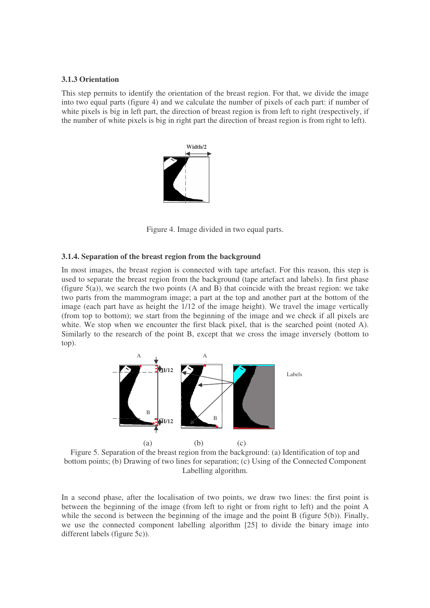#### **3.1.3 Orientation**

This step permits to identify the orientation of the breast region. For that, we divide the image into two equal parts (figure 4) and we calculate the number of pixels of each part: if number of white pixels is big in left part, the direction of breast region is from left to right (respectively, if the number of white pixels is big in right part the direction of breast region is from right to left).



Figure 4. Image divided in two equal parts.

### **3.1.4. Separation of the breast region from the background**

In most images, the breast region is connected with tape artefact. For this reason, this step is used to separate the breast region from the background (tape artefact and labels). In first phase (figure  $5(a)$ ), we search the two points (A and B) that coincide with the breast region: we take two parts from the mammogram image; a part at the top and another part at the bottom of the image (each part have as height the 1/12 of the image height). We travel the image vertically (from top to bottom); we start from the beginning of the image and we check if all pixels are white. We stop when we encounter the first black pixel, that is the searched point (noted A). Similarly to the research of the point B, except that we cross the image inversely (bottom to top).



Figure 5. Separation of the breast region from the background: (a) Identification of top and bottom points; (b) Drawing of two lines for separation; (c) Using of the Connected Component Labelling algorithm.

In a second phase, after the localisation of two points, we draw two lines: the first point is between the beginning of the image (from left to right or from right to left) and the point A while the second is between the beginning of the image and the point B (figure 5(b)). Finally, we use the connected component labelling algorithm [25] to divide the binary image into different labels (figure 5c)).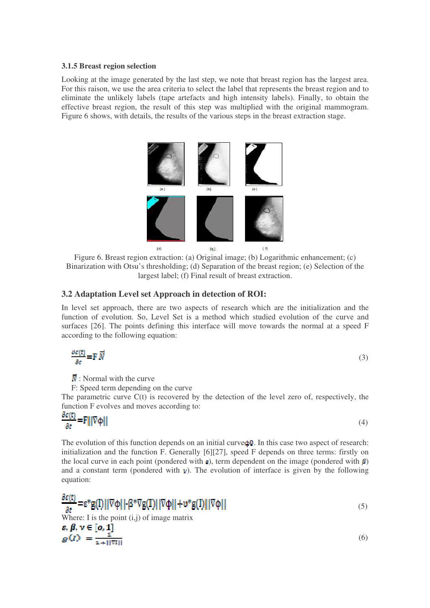#### **3.1.5 Breast region selection**

Looking at the image generated by the last step, we note that breast region has the largest area. For this raison, we use the area criteria to select the label that represents the breast region and to eliminate the unlikely labels (tape artefacts and high intensity labels). Finally, to obtain the effective breast region, the result of this step was multiplied with the original mammogram. Figure 6 shows, with details, the results of the various steps in the breast extraction stage.



Figure 6. Breast region extraction: (a) Original image; (b) Logarithmic enhancement; (c) Binarization with Otsu's thresholding; (d) Separation of the breast region; (e) Selection of the largest label; (f) Final result of breast extraction.

# **3.2 Adaptation Level set Approach in detection of ROI:**

In level set approach, there are two aspects of research which are the initialization and the function of evolution. So, Level Set is a method which studied evolution of the curve and surfaces [26]. The points defining this interface will move towards the normal at a speed F according to the following equation:

$$
\frac{\partial \epsilon(\mathbf{r})}{\partial \mathbf{r}} = \mathbf{F} \, \overrightarrow{N} \tag{3}
$$

 $\vec{N}$ : Normal with the curve

F: Speed term depending on the curve

The parametric curve  $C(t)$  is recovered by the detection of the level zero of, respectively, the function F evolves and moves according to:

$$
\frac{\partial c(t)}{\partial t} = F\| |\nabla \varphi||
$$

(4)

(5)

(6)

The evolution of this function depends on an initial curve  $\phi$ 0. In this case two aspect of research: initialization and the function F. Generally [6][27], speed F depends on three terms: firstly on the local curve in each point (pondered with  $\varepsilon$ ), term dependent on the image (pondered with  $\beta$ ) and a constant term (pondered with  $v$ ). The evolution of interface is given by the following equation:

 $\frac{\partial \varepsilon(t)}{\partial t}$  = ε\*g(I)||∇φ||-β\*∇g(I)||∇φ||+υ\*g(I)||∇φ|| Where: I is the point  $(i, j)$  of image matrix  $s, \beta, \nu \in [0, 1]$ <br> $g(I) = \frac{1}{1 + ||\nabla I||}$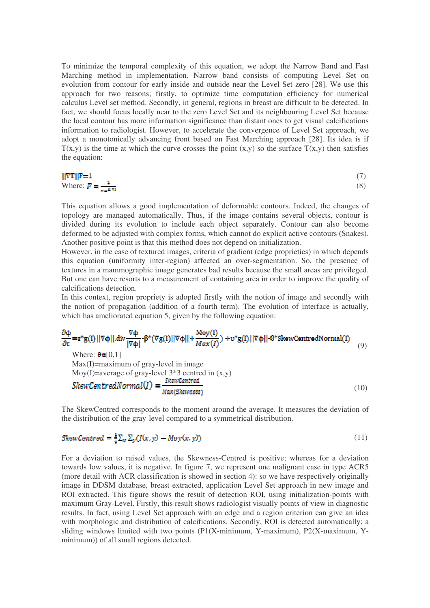To minimize the temporal complexity of this equation, we adopt the Narrow Band and Fast Marching method in implementation. Narrow band consists of computing Level Set on evolution from contour for early inside and outside near the Level Set zero [28]. We use this approach for two reasons; firstly, to optimize time computation efficiency for numerical calculus Level set method. Secondly, in general, regions in breast are difficult to be detected. In fact, we should focus locally near to the zero Level Set and its neighbouring Level Set because the local contour has more information significance than distant ones to get visual calcifications information to radiologist. However, to accelerate the convergence of Level Set approach, we adopt a monotonically advancing front based on Fast Marching approach [28]. Its idea is if  $T(x,y)$  is the time at which the curve crosses the point  $(x,y)$  so the surface  $T(x,y)$  then satisfies the equation:

$$
\|\nabla \mathbf{T}\|\mathbf{F} = 1\tag{7}
$$
\nWhere:  $\mathbf{F} = \frac{1}{\mathbf{S} - \mathbf{S} \|\mathbf{V}\|}$ 

\n(8)

This equation allows a good implementation of deformable contours. Indeed, the changes of topology are managed automatically. Thus, if the image contains several objects, contour is divided during its evolution to include each object separately. Contour can also become deformed to be adjusted with complex forms, which cannot do explicit active contours (Snakes). Another positive point is that this method does not depend on initialization.

However, in the case of textured images, criteria of gradient (edge proprieties) in which depends this equation (uniformity inter-region) affected an over-segmentation. So, the presence of textures in a mammographic image generates bad results because the small areas are privileged. But one can have resorts to a measurement of containing area in order to improve the quality of calcifications detection.

In this context, region propriety is adopted firstly with the notion of image and secondly with the notion of propagation (addition of a fourth term). The evolution of interface is actually, which has ameliorated equation 5, given by the following equation:

$$
\frac{\partial \Phi}{\partial t} = \varepsilon^* g(I) ||\nabla \Phi|| \cdot \text{div} \frac{\nabla \Phi}{|\nabla \Phi|} \cdot \beta^* (\nabla g(I) ||\nabla \Phi|| + \frac{\text{Mov}(I)}{\text{Max}(I)}) + \text{u*} g(I) ||\nabla \Phi|| \cdot \theta^* \text{SkewCentralNormal}(I)
$$
\n(9)

Where:  $\theta \in [0,1]$ Max(I)=maximum of gray-level in image Moy(I)=average of gray-level 3\*3 centred in (x,y)<br>SkewCentredNormal(I) =  $\frac{\text{SkewCentral}}{\text{S}}$ (10) Max(Skewness)

The SkewCentred corresponds to the moment around the average. It measures the deviation of the distribution of the gray-level compared to a symmetrical distribution.

$$
SkewCentral = \frac{1}{2} \sum_{x} \sum_{y} (I(x, y) - Moy(x, y)) \tag{11}
$$

For a deviation to raised values, the Skewness-Centred is positive; whereas for a deviation towards low values, it is negative. In figure 7, we represent one malignant case in type ACR5 (more detail with ACR classification is showed in section 4): so we have respectively originally image in DDSM database, breast extracted, application Level Set approach in new image and ROI extracted. This figure shows the result of detection ROI, using initialization-points with maximum Gray-Level. Firstly, this result shows radiologist visually points of view in diagnostic results. In fact, using Level Set approach with an edge and a region criterion can give an idea with morphologic and distribution of calcifications. Secondly, ROI is detected automatically; a sliding windows limited with two points (P1(X-minimum, Y-maximum), P2(X-maximum, Yminimum)) of all small regions detected.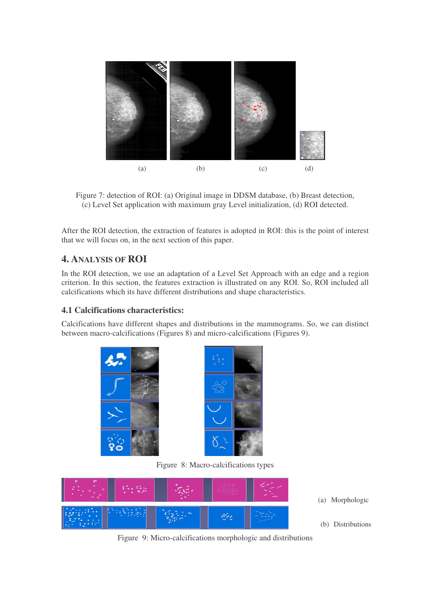

Figure 7: detection of ROI: (a) Original image in DDSM database, (b) Breast detection, (c) Level Set application with maximum gray Level initialization, (d) ROI detected.

After the ROI detection, the extraction of features is adopted in ROI: this is the point of interest that we will focus on, in the next section of this paper.

# **4. ANALYSIS OF ROI**

In the ROI detection, we use an adaptation of a Level Set Approach with an edge and a region criterion. In this section, the features extraction is illustrated on any ROI. So, ROI included all calcifications which its have different distributions and shape characteristics.

# **4.1 Calcifications characteristics:**

Calcifications have different shapes and distributions in the mammograms. So, we can distinct between macro-calcifications (Figures 8) and micro-calcifications (Figures 9).





Figure 8: Macro-calcifications types



(a) Morphologic

(b) Distributions

Figure 9: Micro-calcifications morphologic and distributions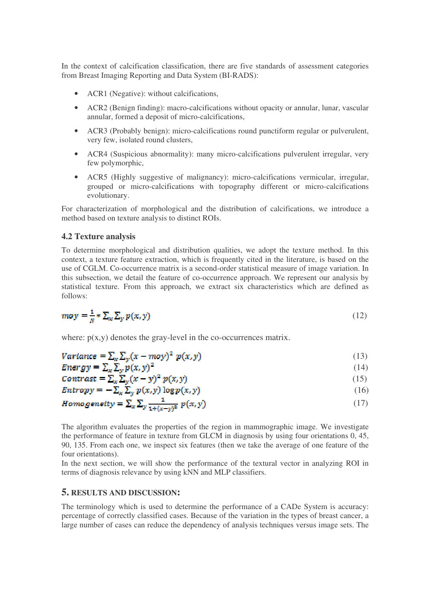In the context of calcification classification, there are five standards of assessment categories from Breast Imaging Reporting and Data System (BI-RADS):

- ACR1 (Negative): without calcifications,
- ACR2 (Benign finding): macro-calcifications without opacity or annular, lunar, vascular annular, formed a deposit of micro-calcifications,
- ACR3 (Probably benign): micro-calcifications round punctiform regular or pulverulent, very few, isolated round clusters,
- ACR4 (Suspicious abnormality): many micro-calcifications pulverulent irregular, very few polymorphic,
- ACR5 (Highly suggestive of malignancy): micro-calcifications vermicular, irregular, grouped or micro-calcifications with topography different or micro-calcifications evolutionary.

For characterization of morphological and the distribution of calcifications, we introduce a method based on texture analysis to distinct ROIs.

### **4.2 Texture analysis**

To determine morphological and distribution qualities, we adopt the texture method. In this context, a texture feature extraction, which is frequently cited in the literature, is based on the use of CGLM. Co-occurrence matrix is a second-order statistical measure of image variation. In this subsection, we detail the feature of co-occurrence approach. We represent our analysis by statistical texture. From this approach, we extract six characteristics which are defined as follows:

$$
moy = \frac{1}{N} * \sum_{x} \sum_{y} p(x, y) \tag{12}
$$

where:  $p(x,y)$  denotes the gray-level in the co-occurrences matrix.

$$
Variance = \sum_{x} \sum_{y} (x - moy)^2 p(x, y)
$$
\n(13)

$$
Energy = \sum_{x} \sum_{y} p(x, y)^2
$$
 (14)

$$
Contrast = \sum_{x} \sum_{y} (x - y)^2 p(x, y) \tag{15}
$$

$$
Entropy = -\sum_{x} \sum_{y} p(x, y) \log p(x, y) \tag{16}
$$

$$
Homogeneity = \sum_{x} \sum_{y} \frac{1}{1 + (x - y)^2} p(x, y)
$$
\n(17)

The algorithm evaluates the properties of the region in mammographic image. We investigate the performance of feature in texture from GLCM in diagnosis by using four orientations 0, 45, 90, 135. From each one, we inspect six features (then we take the average of one feature of the four orientations).

In the next section, we will show the performance of the textural vector in analyzing ROI in terms of diagnosis relevance by using kNN and MLP classifiers.

### **5. RESULTS AND DISCUSSION:**

The terminology which is used to determine the performance of a CADe System is accuracy: percentage of correctly classified cases. Because of the variation in the types of breast cancer, a large number of cases can reduce the dependency of analysis techniques versus image sets. The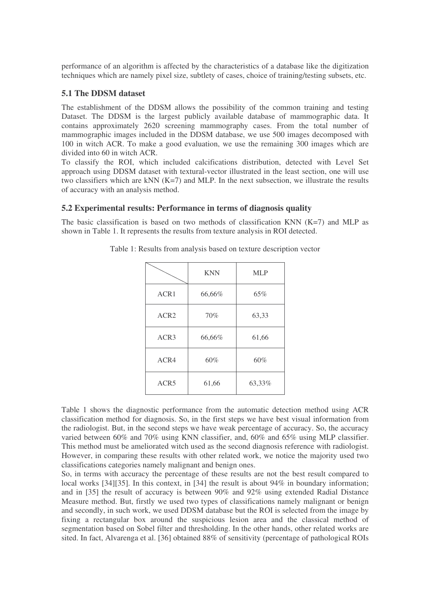performance of an algorithm is affected by the characteristics of a database like the digitization techniques which are namely pixel size, subtlety of cases, choice of training/testing subsets, etc.

# **5.1 The DDSM dataset**

The establishment of the DDSM allows the possibility of the common training and testing Dataset. The DDSM is the largest publicly available database of mammographic data. It contains approximately 2620 screening mammography cases. From the total number of mammographic images included in the DDSM database, we use 500 images decomposed with 100 in witch ACR. To make a good evaluation, we use the remaining 300 images which are divided into 60 in witch ACR.

To classify the ROI, which included calcifications distribution, detected with Level Set approach using DDSM dataset with textural-vector illustrated in the least section, one will use two classifiers which are kNN  $(K=7)$  and MLP. In the next subsection, we illustrate the results of accuracy with an analysis method.

## **5.2 Experimental results: Performance in terms of diagnosis quality**

The basic classification is based on two methods of classification KNN  $(K=7)$  and MLP as shown in Table 1. It represents the results from texture analysis in ROI detected.

|                  | <b>KNN</b> | <b>MLP</b> |
|------------------|------------|------------|
| ACR1             | 66,66%     | 65%        |
| ACR <sub>2</sub> | 70%        | 63,33      |
| ACR <sub>3</sub> | 66,66%     | 61,66      |
| ACR4             | 60%        | 60%        |
| ACR5             | 61,66      | 63,33%     |

Table 1: Results from analysis based on texture description vector

Table 1 shows the diagnostic performance from the automatic detection method using ACR classification method for diagnosis. So, in the first steps we have best visual information from the radiologist. But, in the second steps we have weak percentage of accuracy. So, the accuracy varied between 60% and 70% using KNN classifier, and, 60% and 65% using MLP classifier. This method must be ameliorated witch used as the second diagnosis reference with radiologist. However, in comparing these results with other related work, we notice the majority used two classifications categories namely malignant and benign ones.

So, in terms with accuracy the percentage of these results are not the best result compared to local works [34][35]. In this context, in [34] the result is about 94% in boundary information; and in [35] the result of accuracy is between 90% and 92% using extended Radial Distance Measure method. But, firstly we used two types of classifications namely malignant or benign and secondly, in such work, we used DDSM database but the ROI is selected from the image by fixing a rectangular box around the suspicious lesion area and the classical method of segmentation based on Sobel filter and thresholding. In the other hands, other related works are sited. In fact, Alvarenga et al. [36] obtained 88% of sensitivity (percentage of pathological ROIs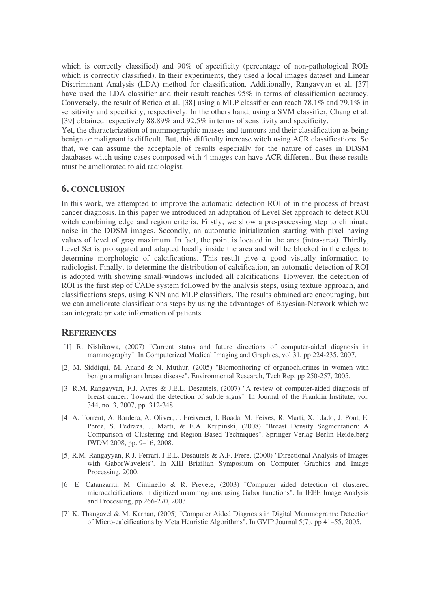which is correctly classified) and 90% of specificity (percentage of non-pathological ROIs which is correctly classified). In their experiments, they used a local images dataset and Linear Discriminant Analysis (LDA) method for classification. Additionally, Rangayyan et al. [37] have used the LDA classifier and their result reaches 95% in terms of classification accuracy. Conversely, the result of Retico et al. [38] using a MLP classifier can reach 78.1% and 79.1% in sensitivity and specificity, respectively. In the others hand, using a SVM classifier, Chang et al. [39] obtained respectively 88.89% and 92.5% in terms of sensitivity and specificity.

Yet, the characterization of mammographic masses and tumours and their classification as being benign or malignant is difficult. But, this difficulty increase witch using ACR classifications. So that, we can assume the acceptable of results especially for the nature of cases in DDSM databases witch using cases composed with 4 images can have ACR different. But these results must be ameliorated to aid radiologist.

## **6. CONCLUSION**

In this work, we attempted to improve the automatic detection ROI of in the process of breast cancer diagnosis. In this paper we introduced an adaptation of Level Set approach to detect ROI witch combining edge and region criteria. Firstly, we show a pre-processing step to eliminate noise in the DDSM images. Secondly, an automatic initialization starting with pixel having values of level of gray maximum. In fact, the point is located in the area (intra-area). Thirdly, Level Set is propagated and adapted locally inside the area and will be blocked in the edges to determine morphologic of calcifications. This result give a good visually information to radiologist. Finally, to determine the distribution of calcification, an automatic detection of ROI is adopted with showing small-windows included all calcifications. However, the detection of ROI is the first step of CADe system followed by the analysis steps, using texture approach, and classifications steps, using KNN and MLP classifiers. The results obtained are encouraging, but we can ameliorate classifications steps by using the advantages of Bayesian-Network which we can integrate private information of patients.

### **REFERENCES**

- [1] R. Nishikawa, (2007) "Current status and future directions of computer-aided diagnosis in mammography". In Computerized Medical Imaging and Graphics, vol 31, pp 224-235, 2007.
- [2] M. Siddiqui, M. Anand & N. Muthur, (2005) "Biomonitoring of organochlorines in women with benign a malignant breast disease". Environmental Research, Tech Rep, pp 250-257, 2005.
- [3] R.M. Rangayyan, F.J. Ayres & J.E.L. Desautels, (2007) "A review of computer-aided diagnosis of breast cancer: Toward the detection of subtle signs". In Journal of the Franklin Institute, vol. 344, no. 3, 2007, pp. 312-348.
- [4] A. Torrent, A. Bardera, A. Oliver, J. Freixenet, I. Boada, M. Feixes, R. Marti, X. Llado, J. Pont, E. Perez, S. Pedraza, J. Marti, & E.A. Krupinski, (2008) "Breast Density Segmentation: A Comparison of Clustering and Region Based Techniques". Springer-Verlag Berlin Heidelberg IWDM 2008, pp. 9–16, 2008.
- [5] R.M. Rangayyan, R.J. Ferrari, J.E.L. Desautels & A.F. Frere, (2000) "Directional Analysis of Images with GaborWavelets". In XIII Brizilian Symposium on Computer Graphics and Image Processing, 2000.
- [6] E. Catanzariti, M. Ciminello & R. Prevete, (2003) "Computer aided detection of clustered microcalcifications in digitized mammograms using Gabor functions". In IEEE Image Analysis and Processing, pp 266-270, 2003.
- [7] K. Thangavel & M. Karnan, (2005) "Computer Aided Diagnosis in Digital Mammograms: Detection of Micro-calcifications by Meta Heuristic Algorithms". In GVIP Journal 5(7), pp 41–55, 2005.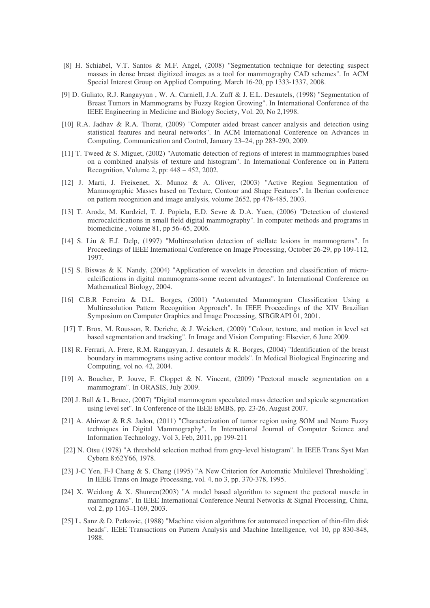- [8] H. Schiabel, V.T. Santos & M.F. Angel, (2008) "Segmentation technique for detecting suspect masses in dense breast digitized images as a tool for mammography CAD schemes". In ACM Special Interest Group on Applied Computing, March 16-20, pp 1333-1337, 2008.
- [9] D. Guliato, R.J. Rangayyan , W. A. Carniell, J.A. Zuff & J. E.L. Desautels, (1998) "Segmentation of Breast Tumors in Mammograms by Fuzzy Region Growing". In International Conference of the IEEE Engineering in Medicine and Biology Society, Vol. 20, No 2,1998.
- [10] R.A. Jadhav & R.A. Thorat, (2009) "Computer aided breast cancer analysis and detection using statistical features and neural networks". In ACM International Conference on Advances in Computing, Communication and Control, January 23–24, pp 283-290, 2009.
- [11] T. Tweed & S. Miguet, (2002) "Automatic detection of regions of interest in mammographies based on a combined analysis of texture and histogram". In International Conference on in Pattern Recognition, Volume 2, pp: 448 – 452, 2002.
- [12] J. Marti, J. Freixenet, X. Munoz & A. Oliver, (2003) "Active Region Segmentation of Mammographic Masses based on Texture, Contour and Shape Features". In Iberian conference on pattern recognition and image analysis, volume 2652, pp 478-485, 2003.
- [13] T. Arodz, M. Kurdziel, T. J. Popiela, E.D. Sevre & D.A. Yuen, (2006) "Detection of clustered microcalcifications in small field digital mammography". In computer methods and programs in biomedicine , volume 81, pp 56–65, 2006.
- [14] S. Liu & E.J. Delp, (1997) "Multiresolution detection of stellate lesions in mammograms". In Proceedings of IEEE International Conference on Image Processing, October 26-29, pp 109-112, 1997.
- [15] S. Biswas & K. Nandy, (2004) "Application of wavelets in detection and classification of microcalcifications in digital mammograms-some recent advantages". In International Conference on Mathematical Biology, 2004.
- [16] C.B.R Ferreira & D.L. Borges, (2001) "Automated Mammogram Classification Using a Multiresolution Pattern Recognition Approach". In IEEE Proceedings of the XIV Brazilian Symposium on Computer Graphics and Image Processing, SIBGRAPI 01, 2001.
- [17] T. Brox, M. Rousson, R. Deriche, & J. Weickert, (2009) "Colour, texture, and motion in level set based segmentation and tracking". In Image and Vision Computing: Elsevier, 6 June 2009.
- [18] R. Ferrari, A. Frere, R.M. Rangayyan, J. desautels & R. Borges, (2004) "Identification of the breast boundary in mammograms using active contour models". In Medical Biological Engineering and Computing, vol no. 42, 2004.
- [19] A. Boucher, P. Jouve, F. Cloppet & N. Vincent, (2009) "Pectoral muscle segmentation on a mammogram". In ORASIS, July 2009.
- [20] J. Ball & L. Bruce, (2007) "Digital mammogram speculated mass detection and spicule segmentation using level set". In Conference of the IEEE EMBS, pp. 23-26, August 2007.
- [21] A. Ahirwar & R.S. Jadon, (2011) "Characterization of tumor region using SOM and Neuro Fuzzy techniques in Digital Mammography". In International Journal of Computer Science and Information Technology, Vol 3, Feb, 2011, pp 199-211
- [22] N. Otsu (1978) "A threshold selection method from grey-level histogram". In IEEE Trans Syst Man Cybern 8:62Y66, 1978.
- [23] J-C Yen, F-J Chang & S. Chang (1995) "A New Criterion for Automatic Multilevel Thresholding". In IEEE Trans on Image Processing, vol. 4, no 3, pp. 370-378, 1995.
- [24] X. Weidong & X. Shunren(2003) "A model based algorithm to segment the pectoral muscle in mammograms". In IEEE International Conference Neural Networks & Signal Processing, China, vol 2, pp 1163-1169, 2003.
- [25] L. Sanz & D. Petkovic, (1988) "Machine vision algorithms for automated inspection of thin-film disk heads". IEEE Transactions on Pattern Analysis and Machine Intelligence, vol 10, pp 830-848, 1988.